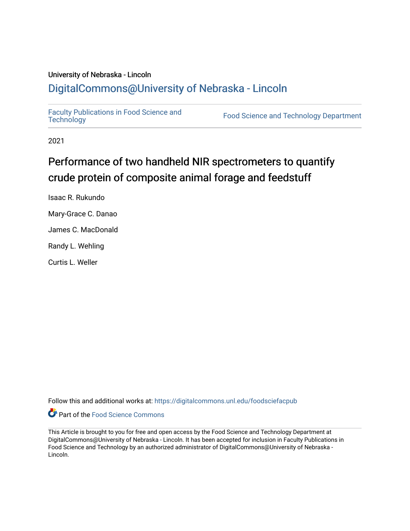# University of Nebraska - Lincoln [DigitalCommons@University of Nebraska - Lincoln](https://digitalcommons.unl.edu/)

[Faculty Publications in Food Science and](https://digitalcommons.unl.edu/foodsciefacpub)

Food Science and [Technology](https://digitalcommons.unl.edu/foodsciefacpub) Department

2021

# Performance of two handheld NIR spectrometers to quantify crude protein of composite animal forage and feedstuff

Isaac R. Rukundo

Mary-Grace C. Danao

James C. MacDonald

Randy L. Wehling

Curtis L. Weller

Follow this and additional works at: [https://digitalcommons.unl.edu/foodsciefacpub](https://digitalcommons.unl.edu/foodsciefacpub?utm_source=digitalcommons.unl.edu%2Ffoodsciefacpub%2F448&utm_medium=PDF&utm_campaign=PDFCoverPages) 



This Article is brought to you for free and open access by the Food Science and Technology Department at DigitalCommons@University of Nebraska - Lincoln. It has been accepted for inclusion in Faculty Publications in Food Science and Technology by an authorized administrator of DigitalCommons@University of Nebraska -Lincoln.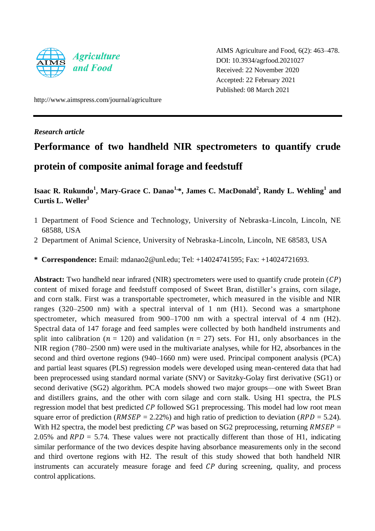

AIMS Agriculture and Food, 6(2): 463–478. DOI: 10.3934/agrfood.2021027 Received: 22 November 2020 Accepted: 22 February 2021 Published: 08 March 2021

http://www.aimspress.com/journal/agriculture

*Research article*

# **Performance of two handheld NIR spectrometers to quantify crude protein of composite animal forage and feedstuff**

# **Isaac R. Rukundo<sup>1</sup> , Mary-Grace C. Danao1,\*, James C. MacDonald<sup>2</sup> , Randy L. Wehling<sup>1</sup> and Curtis L. Weller<sup>1</sup>**

- 1 Department of Food Science and Technology, University of Nebraska-Lincoln, Lincoln, NE 68588, USA
- 2 Department of Animal Science, University of Nebraska-Lincoln, Lincoln, NE 68583, USA
- **\* Correspondence:** Email: mdanao2@unl.edu; Tel: +14024741595; Fax: +14024721693.

**Abstract:** Two handheld near infrared (NIR) spectrometers were used to quantify crude protein  $(\mathcal{CP})$ content of mixed forage and feedstuff composed of Sweet Bran, distiller's grains, corn silage, and corn stalk. First was a transportable spectrometer, which measured in the visible and NIR ranges (320–2500 nm) with a spectral interval of 1 nm (H1). Second was a smartphone spectrometer, which measured from 900–1700 nm with a spectral interval of 4 nm (H2). Spectral data of 147 forage and feed samples were collected by both handheld instruments and split into calibration ( $n = 120$ ) and validation ( $n = 27$ ) sets. For H1, only absorbances in the NIR region (780–2500 nm) were used in the multivariate analyses, while for H2, absorbances in the second and third overtone regions (940–1660 nm) were used. Principal component analysis (PCA) and partial least squares (PLS) regression models were developed using mean-centered data that had been preprocessed using standard normal variate (SNV) or Savitzky-Golay first derivative (SG1) or second derivative (SG2) algorithm. PCA models showed two major groups—one with Sweet Bran and distillers grains, and the other with corn silage and corn stalk. Using H1 spectra, the PLS regression model that best predicted  $\mathcal{CP}$  followed SG1 preprocessing. This model had low root mean square error of prediction ( $RMSEP = 2.22\%$ ) and high ratio of prediction to deviation ( $RPD = 5.24$ ). With H2 spectra, the model best predicting  $\mathcal{CP}$  was based on SG2 preprocessing, returning  $RMSEP =$ 2.05% and  $RPD = 5.74$ . These values were not practically different than those of H1, indicating similar performance of the two devices despite having absorbance measurements only in the second and third overtone regions with H2. The result of this study showed that both handheld NIR instruments can accurately measure forage and feed  $\mathcal{CP}$  during screening, quality, and process control applications.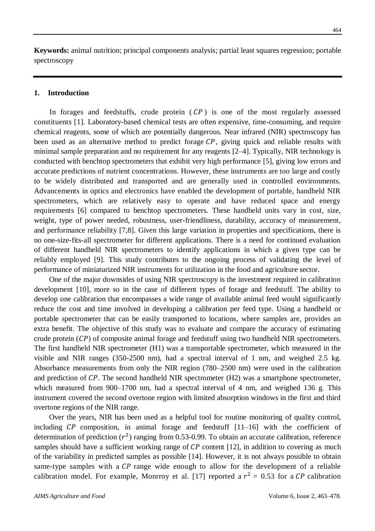**Keywords:** animal nutrition; principal components analysis; partial least squares regression; portable spectroscopy

# **1. Introduction**

In forages and feedstuffs, crude protein  $\overline{CP}$  is one of the most regularly assessed constituents [1]. Laboratory-based chemical tests are often expensive, time-consuming, and require chemical reagents, some of which are potentially dangerous. Near infrared (NIR) spectroscopy has been used as an alternative method to predict forage  $\mathcal{CP}$ , giving quick and reliable results with minimal sample preparation and no requirement for any reagents [2–4]. Typically, NIR technology is conducted with benchtop spectrometers that exhibit very high performance [5], giving low errors and accurate predictions of nutrient concentrations. However, these instruments are too large and costly to be widely distributed and transported and are generally used in controlled environments. Advancements in optics and electronics have enabled the development of portable, handheld NIR spectrometers, which are relatively easy to operate and have reduced space and energy requirements [6] compared to benchtop spectrometers. These handheld units vary in cost, size, weight, type of power needed, robustness, user-friendliness, durability, accuracy of measurement, and performance reliability [7,8]. Given this large variation in properties and specifications, there is no one-size-fits-all spectrometer for different applications. There is a need for continued evaluation of different handheld NIR spectrometers to identify applications in which a given type can be reliably employed [9]. This study contributes to the ongoing process of validating the level of performance of miniaturized NIR instruments for utilization in the food and agriculture sector.

One of the major downsides of using NIR spectroscopy is the investment required in calibration development [10], more so in the case of different types of forage and feedstuff. The ability to develop one calibration that encompasses a wide range of available animal feed would significantly reduce the cost and time involved in developing a calibration per feed type. Using a handheld or portable spectrometer that can be easily transported to locations, where samples are, provides an extra benefit. The objective of this study was to evaluate and compare the accuracy of estimating crude protein  $( \mathcal{C} P )$  of composite animal forage and feedstuff using two handheld NIR spectrometers. The first handheld NIR spectrometer (H1) was a transportable spectrometer, which measured in the visible and NIR ranges (350-2500 nm), had a spectral interval of 1 nm, and weighed 2.5 kg. Absorbance measurements from only the NIR region (780–2500 nm) were used in the calibration and prediction of  $\mathcal{CP}$ . The second handheld NIR spectrometer (H2) was a smartphone spectrometer, which measured from 900–1700 nm, had a spectral interval of 4 nm, and weighed 136 g. This instrument covered the second overtone region with limited absorption windows in the first and third overtone regions of the NIR range.

Over the years, NIR has been used as a helpful tool for routine monitoring of quality control, including  $\mathcal{CP}$  composition, in animal forage and feedstuff  $[11-16]$  with the coefficient of determination of prediction  $(r^2)$  ranging from 0.53-0.99. To obtain an accurate calibration, reference samples should have a sufficient working range of  $\mathcal{CP}$  content [12], in addition to covering as much of the variability in predicted samples as possible [14]. However, it is not always possible to obtain same-type samples with a  $\mathcal{CP}$  range wide enough to allow for the development of a reliable calibration model. For example, Monrroy et al. [17] reported a  $r^2 = 0.53$  for a CP calibration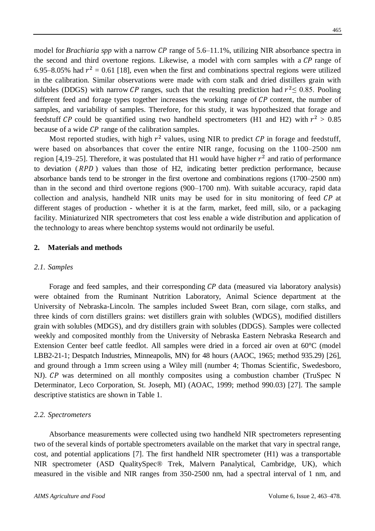model for *Brachiaria spp* with a narrow CP range of 5.6–11.1%, utilizing NIR absorbance spectra in the second and third overtone regions. Likewise, a model with corn samples with a  $\mathcal{CP}$  range of 6.95–8.05% had  $r^2 = 0.61$  [18], even when the first and combinations spectral regions were utilized in the calibration. Similar observations were made with corn stalk and dried distillers grain with solubles (DDGS) with narrow CP ranges, such that the resulting prediction had  $r^2 \le 0.85$ . Pooling different feed and forage types together increases the working range of  $\mathcal{CP}$  content, the number of samples, and variability of samples. Therefore, for this study, it was hypothesized that forage and feedstuff CP could be quantified using two handheld spectrometers (H1 and H2) with  $r^2 > 0.85$ because of a wide  $\mathcal{CP}$  range of the calibration samples.

Most reported studies, with high  $r^2$  values, using NIR to predict CP in forage and feedstuff, were based on absorbances that cover the entire NIR range, focusing on the 1100–2500 nm region [4,19–25]. Therefore, it was postulated that H1 would have higher  $r^2$  and ratio of performance to deviation  $(RPD)$  values than those of H2, indicating better prediction performance, because absorbance bands tend to be stronger in the first overtone and combinations regions (1700–2500 nm) than in the second and third overtone regions (900–1700 nm). With suitable accuracy, rapid data collection and analysis, handheld NIR units may be used for in situ monitoring of feed  $\mathcal{CP}$  at different stages of production - whether it is at the farm, market, feed mill, silo, or a packaging facility. Miniaturized NIR spectrometers that cost less enable a wide distribution and application of the technology to areas where benchtop systems would not ordinarily be useful.

#### **2. Materials and methods**

#### *2.1. Samples*

Forage and feed samples, and their corresponding  $\mathcal{CP}$  data (measured via laboratory analysis) were obtained from the Ruminant Nutrition Laboratory, Animal Science department at the University of Nebraska-Lincoln. The samples included Sweet Bran, corn silage, corn stalks, and three kinds of corn distillers grains: wet distillers grain with solubles (WDGS), modified distillers grain with solubles (MDGS), and dry distillers grain with solubles (DDGS). Samples were collected weekly and composited monthly from the University of Nebraska Eastern Nebraska Research and Extension Center beef cattle feedlot. All samples were dried in a forced air oven at  $60\,^{\circ}\text{C}$  (model LBB2-21-1; Despatch Industries, Minneapolis, MN) for 48 hours (AAOC, 1965; method 935.29) [26], and ground through a 1mm screen using a Wiley mill (number 4; Thomas Scientific, Swedesboro, NJ). CP was determined on all monthly composites using a combustion chamber (TruSpec N Determinator, Leco Corporation, St. Joseph, MI) (AOAC, 1999; method 990.03) [27]. The sample descriptive statistics are shown in Table 1.

#### *2.2. Spectrometers*

Absorbance measurements were collected using two handheld NIR spectrometers representing two of the several kinds of portable spectrometers available on the market that vary in spectral range, cost, and potential applications [7]. The first handheld NIR spectrometer (H1) was a transportable NIR spectrometer (ASD QualitySpec® Trek, Malvern Panalytical, Cambridge, UK), which measured in the visible and NIR ranges from 350-2500 nm, had a spectral interval of 1 nm, and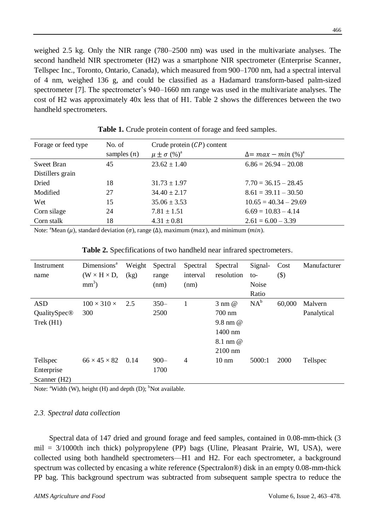weighed 2.5 kg. Only the NIR range (780–2500 nm) was used in the multivariate analyses. The second handheld NIR spectrometer (H2) was a smartphone NIR spectrometer (Enterprise Scanner, Tellspec Inc., Toronto, Ontario, Canada), which measured from 900–1700 nm, had a spectral interval of 4 nm, weighed 136 g, and could be classified as a Hadamard transform-based palm-sized spectrometer [7]. The spectrometer's 940–1660 nm range was used in the multivariate analyses. The cost of H2 was approximately 40x less that of H1. Table 2 shows the differences between the two handheld spectrometers.

| Forage or feed type | No. of<br>samples $(n)$ | Crude protein $(CP)$ content<br>$\mu \pm \sigma$ (%) <sup>a</sup> | $\Delta = max - min(\%)^d$ |
|---------------------|-------------------------|-------------------------------------------------------------------|----------------------------|
| Sweet Bran          | 45                      | $23.62 \pm 1.40$                                                  | $6.86 = 26.94 - 20.08$     |
| Distillers grain    |                         |                                                                   |                            |
| Dried               | 18                      | $31.73 \pm 1.97$                                                  | $7.70 = 36.15 - 28.45$     |
| Modified            | 27                      | $34.40 \pm 2.17$                                                  | $8.61 = 39.11 - 30.50$     |
| Wet                 | 15                      | $35.06 \pm 3.53$                                                  | $10.65 = 40.34 - 29.69$    |
| Corn silage         | 24                      | $7.81 \pm 1.51$                                                   | $6.69 = 10.83 - 4.14$      |
| Corn stalk          | 18                      | $4.31 \pm 0.81$                                                   | $2.61 = 6.00 - 3.39$       |
|                     |                         |                                                                   |                            |

**Table 1.** Crude protein content of forage and feed samples.

Note: <sup>a</sup>Mean  $(\mu)$ , standard deviation  $(\sigma)$ , range  $(\Delta)$ , maximum  $(\max)$ , and minimum  $(\min)$ .

| <b>Table 2.</b> Specfifications of two handheld near infrared spectrometers. |
|------------------------------------------------------------------------------|
|------------------------------------------------------------------------------|

| Instrument<br>name                     | Dimensions <sup>a</sup><br>$(W \times H \times D,$<br>$mm3$ ) | Weight<br>(kg) | Spectral<br>range<br>(nm) | Spectral<br>interval<br>(nm) | Spectral<br>resolution                                                       | Signal-<br>to-<br>Noise<br>Ratio | Cost<br>$(\$)$ | Manufacturer           |
|----------------------------------------|---------------------------------------------------------------|----------------|---------------------------|------------------------------|------------------------------------------------------------------------------|----------------------------------|----------------|------------------------|
| <b>ASD</b><br>QualitySpec®<br>Trek(H1) | $100 \times 310 \times$<br>300                                | 2.5            | $350 -$<br>2500           |                              | $3 \text{ nm}$ $@$<br>700 nm<br>9.8 nm @<br>$1400$ nm<br>8.1 nm @<br>2100 nm | $NA^b$                           | 60,000         | Malvern<br>Panalytical |
| Tellspec<br>Enterprise<br>Scanner (H2) | $66 \times 45 \times 82$                                      | 0.14           | $900 -$<br>1700           | $\overline{4}$               | $10 \text{ nm}$                                                              | 5000:1                           | 2000           | Tellspec               |

Note:  $\alpha$ <sup>a</sup>Width (W), height (H) and depth (D); <sup>b</sup>Not available.

# *2.3*. *Spectral data collection*

Spectral data of 147 dried and ground forage and feed samples, contained in 0.08-mm-thick (3 mil = 3/1000th inch thick) polypropylene (PP) bags (Uline, Pleasant Prairie, WI, USA), were collected using both handheld spectrometers—H1 and H2. For each spectrometer, a background spectrum was collected by encasing a white reference (Spectralon®) disk in an empty 0.08-mm-thick PP bag. This background spectrum was subtracted from subsequent sample spectra to reduce the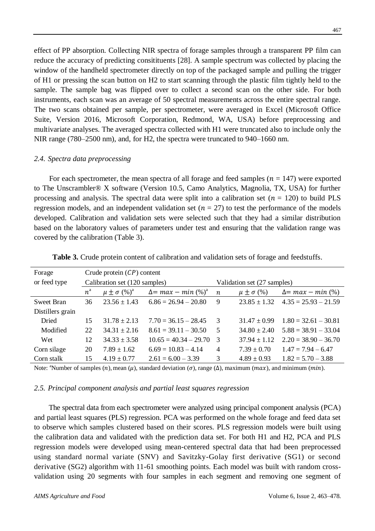effect of PP absorption. Collecting NIR spectra of forage samples through a transparent PP film can reduce the accuracy of predicting consitituents [28]. A sample spectrum was collected by placing the window of the handheld spectrometer directly on top of the packaged sample and pulling the trigger of H1 or pressing the scan button on H2 to start scanning through the plastic film tightly held to the sample. The sample bag was flipped over to collect a second scan on the other side. For both instruments, each scan was an average of 50 spectral measurements across the entire spectral range. The two scans obtained per sample, per spectrometer, were averaged in Excel (Microsoft Office Suite, Version 2016, Microsoft Corporation, Redmond, WA, USA) before preprocessing and multivariate analyses. The averaged spectra collected with H1 were truncated also to include only the NIR range (780–2500 nm), and, for H2, the spectra were truncated to 940–1660 nm.

## *2.4. Spectra data preprocessing*

For each spectrometer, the mean spectra of all forage and feed samples ( $n = 147$ ) were exported to The Unscrambler® X software (Version 10.5, Camo Analytics, Magnolia, TX, USA) for further processing and analysis. The spectral data were split into a calibration set ( $n = 120$ ) to build PLS regression models, and an independent validation set ( $n = 27$ ) to test the performance of the models developed. Calibration and validation sets were selected such that they had a similar distribution based on the laboratory values of parameters under test and ensuring that the validation range was covered by the calibration (Table 3).

| Forage           | Crude protein $(CP)$ content  |                                   |                            |                  |                             |                          |  |  |  |
|------------------|-------------------------------|-----------------------------------|----------------------------|------------------|-----------------------------|--------------------------|--|--|--|
| or feed type     | Calibration set (120 samples) |                                   |                            |                  | Validation set (27 samples) |                          |  |  |  |
|                  | $n^{\rm a}$                   | $\mu \pm \sigma$ (%) <sup>a</sup> | $\Delta = max - min(\%)^a$ | $\boldsymbol{n}$ | $\mu \pm \sigma$ (%)        | $\Delta = max - min(\%)$ |  |  |  |
| Sweet Bran       | 36                            | $23.56 \pm 1.43$                  | $6.86 = 26.94 - 20.80$     | 9                | $23.85 \pm 1.32$            | $4.35 = 25.93 - 21.59$   |  |  |  |
| Distillers grain |                               |                                   |                            |                  |                             |                          |  |  |  |
| Dried            | 15                            | $31.78 \pm 2.13$                  | $7.70 = 36.15 - 28.45$     | 3                | $31.47 + 0.99$              | $1.80 = 32.61 - 30.81$   |  |  |  |
| Modified         | 22                            | $34.31 \pm 2.16$                  | $8.61 = 39.11 - 30.50$     | 5                | $34.80 \pm 2.40$            | $5.88 = 38.91 - 33.04$   |  |  |  |
| Wet              | 12                            | $34.33 \pm 3.58$                  | $10.65 = 40.34 - 29.70$    | -3               | $37.94 \pm 1.12$            | $2.20 = 38.90 - 36.70$   |  |  |  |
| Corn silage      | 20                            | $7.89 \pm 1.62$                   | $6.69 = 10.83 - 4.14$      | $\overline{4}$   | $7.39 \pm 0.70$             | $1.47 = 7.94 - 6.47$     |  |  |  |
| Corn stalk       | 15                            | $4.19 \pm 0.77$                   | $2.61 = 6.00 - 3.39$       | 3                | $4.89 \pm 0.93$             | $1.82 = 5.70 - 3.88$     |  |  |  |

**Table 3.** Crude protein content of calibration and validation sets of forage and feedstuffs.

Note: <sup>a</sup>Number of samples  $(n)$ , mean  $(\mu)$ , standard deviation  $(\sigma)$ , range  $(\Delta)$ , maximum  $(\max)$ , and minimum  $(\min)$ .

# *2.5. Principal component analysis and partial least squares regression*

The spectral data from each spectrometer were analyzed using principal component analysis (PCA) and partial least squares (PLS) regression. PCA was performed on the whole forage and feed data set to observe which samples clustered based on their scores. PLS regression models were built using the calibration data and validated with the prediction data set. For both H1 and H2, PCA and PLS regression models were developed using mean-centered spectral data that had been preprocessed using standard normal variate (SNV) and Savitzky-Golay first derivative (SG1) or second derivative (SG2) algorithm with 11-61 smoothing points. Each model was built with random crossvalidation using 20 segments with four samples in each segment and removing one segment of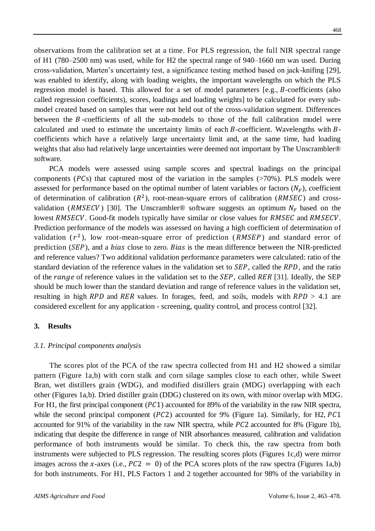observations from the calibration set at a time. For PLS regression, the full NIR spectral range of H1 (780–2500 nm) was used, while for H2 the spectral range of 940–1660 nm was used. During cross-validation, Marten's uncertainty test, a significance testing method based on jack-knifing [29], was enabled to identify, along with loading weights, the important wavelengths on which the PLS regression model is based. This allowed for a set of model parameters  $[e.g., B-coefficients$  (also called regression coefficients), scores, loadings and loading weights] to be calculated for every submodel created based on samples that were not held out of the cross-validation segment. Differences between the  $B$ -coefficients of all the sub-models to those of the full calibration model were calculated and used to estimate the uncertainty limits of each  $B$ -coefficient. Wavelengths with  $B$ coefficients which have a relatively large uncertainty limit and, at the same time, had loading weights that also had relatively large uncertainties were deemed not important by The Unscrambler®

PCA models were assessed using sample scores and spectral loadings on the principal components ( $PCs$ ) that captured most of the variation in the samples ( $>70\%$ ). PLS models were assessed for performance based on the optimal number of latent variables or factors  $(N_F)$ , coefficient of determination of calibration  $(R^2)$ , root-mean-square errors of calibration (RMSEC) and crossvalidation (RMSECV) [30]. The Unscrambler® software suggests an optimum  $N_F$  based on the lowest RMSECV. Good-fit models typically have similar or close values for RMSEC and RMSECV. Prediction performance of the models was assessed on having a high coefficient of determination of validation  $(r^2)$ , low root-mean-square error of prediction (RMSEP) and standard error of prediction  $(SEP)$ , and a *bias* close to zero. *Bias* is the mean difference between the NIR-predicted and reference values? Two additional validation performance parameters were calculated: ratio of the standard deviation of the reference values in the validation set to  $SEP$ , called the  $RPD$ , and the ratio of the range of reference values in the validation set to the  $SEP$ , called  $RER$  [31]. Ideally, the SEP should be much lower than the standard deviation and range of reference values in the validation set, resulting in high RPD and RER values. In forages, feed, and soils, models with  $RPD > 4.1$  are considered excellent for any application - screening, quality control, and process control [32].

#### **3. Results**

software.

#### *3.1. Principal components analysis*

The scores plot of the PCA of the raw spectra collected from H1 and H2 showed a similar pattern (Figure 1a,b) with corn stalk and corn silage samples close to each other, while Sweet Bran, wet distillers grain (WDG), and modified distillers grain (MDG) overlapping with each other (Figures 1a,b). Dried distiller grain (DDG) clustered on its own, with minor overlap with MDG. For H1, the first principal component ( $P\mathcal{L}$ 1) accounted for 89% of the variability in the raw NIR spectra, while the second principal component  $(PC2)$  accounted for 9% (Figure 1a). Similarly, for H2, PC1 accounted for 91% of the variability in the raw NIR spectra, while  $PC2$  accounted for 8% (Figure 1b), indicating that despite the difference in range of NIR absorbances measured, calibration and validation performance of both instruments would be similar. To check this, the raw spectra from both instruments were subjected to PLS regression. The resulting scores plots (Figures 1c,d) were mirror images across the x-axes (i.e.,  $PC2 = 0$ ) of the PCA scores plots of the raw spectra (Figures 1a,b) for both instruments. For H1, PLS Factors 1 and 2 together accounted for 98% of the variability in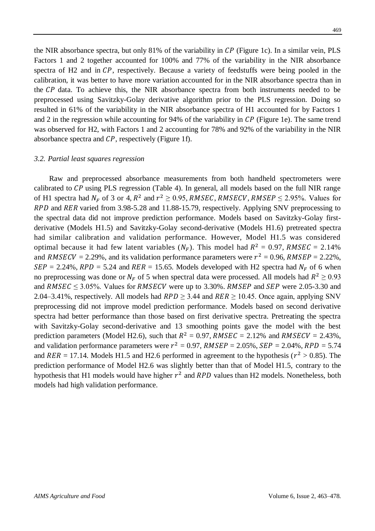the NIR absorbance spectra, but only  $81\%$  of the variability in CP (Figure 1c). In a similar vein, PLS Factors 1 and 2 together accounted for 100% and 77% of the variability in the NIR absorbance spectra of H2 and in  $\mathcal{CP}$ , respectively. Because a variety of feedstuffs were being pooled in the calibration, it was better to have more variation accounted for in the NIR absorbance spectra than in the CP data. To achieve this, the NIR absorbance spectra from both instruments needed to be preprocessed using Savitzky-Golay derivative algorithm prior to the PLS regression. Doing so resulted in 61% of the variability in the NIR absorbance spectra of H1 accounted for by Factors 1 and 2 in the regression while accounting for 94% of the variability in  $\mathcal{CP}$  (Figure 1e). The same trend was observed for H2, with Factors 1 and 2 accounting for 78% and 92% of the variability in the NIR absorbance spectra and  $\mathcal{CP}$ , respectively (Figure 1f).

#### *3.2. Partial least squares regression*

Raw and preprocessed absorbance measurements from both handheld spectrometers were calibrated to  $\mathcal{CP}$  using PLS regression (Table 4). In general, all models based on the full NIR range of H1 spectra had  $N_F$  of 3 or 4,  $R^2$  and  $r^2 \ge 0.95$ , RMSEC, RMSECV, RMSEP  $\le 2.95\%$ . Values for RPD and RER varied from 3.98-5.28 and 11.88-15.79, respectively. Applying SNV preprocessing to the spectral data did not improve prediction performance. Models based on Savitzky-Golay firstderivative (Models H1.5) and Savitzky-Golay second-derivative (Models H1.6) pretreated spectra had similar calibration and validation performance. However, Model H1.5 was considered optimal because it had few latent variables  $(N_F)$ . This model had  $R^2 = 0.97$ , RMSEC = 2.14% and RMSECV = 2.29%, and its validation performance parameters were  $r^2 = 0.96$ , RMSEP = 2.22%,  $SEP = 2.24\%, RPD = 5.24$  and  $RER = 15.65$ . Models developed with H2 spectra had  $N_F$  of 6 when no preprocessing was done or  $N_F$  of 5 when spectral data were processed. All models had  $R^2 \ge 0.93$ and  $RMSEC \leq 3.05\%$ . Values for RMSECV were up to 3.30%. RMSEP and SEP were 2.05-3.30 and 2.04–3.41%, respectively. All models had  $RPD \geq 3.44$  and  $RER \geq 10.45$ . Once again, applying SNV preprocessing did not improve model prediction performance. Models based on second derivative spectra had better performance than those based on first derivative spectra. Pretreating the spectra with Savitzky-Golay second-derivative and 13 smoothing points gave the model with the best prediction parameters (Model H2.6), such that  $R^2 = 0.97$ , RMSEC = 2.12% and RMSECV = 2.43%, and validation performance parameters were  $r^2 = 0.97$ ,  $RMSEP = 2.05$ %,  $SEP = 2.04$ %,  $RPD = 5.74$ and  $RER = 17.14$ . Models H1.5 and H2.6 performed in agreement to the hypothesis ( $r^2 > 0.85$ ). The prediction performance of Model H2.6 was slightly better than that of Model H1.5, contrary to the hypothesis that H1 models would have higher  $r^2$  and RPD values than H2 models. Nonetheless, both models had high validation performance.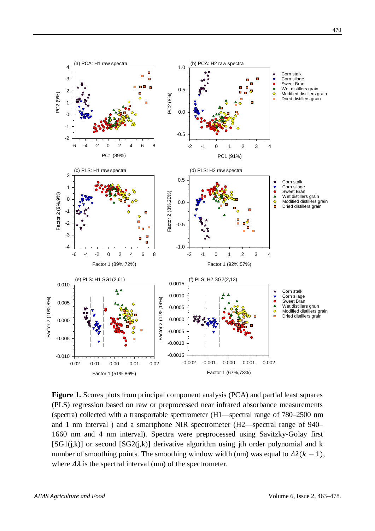

**Figure 1.** Scores plots from principal component analysis (PCA) and partial least squares (PLS) regression based on raw or preprocessed near infrared absorbance measurements (spectra) collected with a transportable spectrometer (H1—spectral range of 780–2500 nm and 1 nm interval ) and a smartphone NIR spectrometer (H2—spectral range of 940– 1660 nm and 4 nm interval). Spectra were preprocessed using Savitzky-Golay first  $[SG1(i,k)]$  or second  $[SG2(i,k)]$  derivative algorithm using jth order polynomial and k number of smoothing points. The smoothing window width (nm) was equal to  $\Delta \lambda (k-1)$ , where  $\Delta\lambda$  is the spectral interval (nm) of the spectrometer.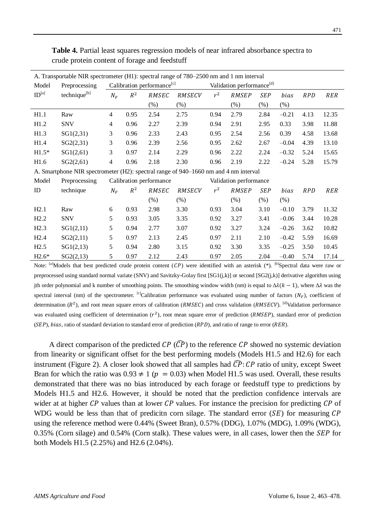| A. Transportable NIR spectrometer (H1): spectral range of 780–2500 nm and 1 nm interval |                                                                                      |                                        |       |         |        |                                       |         |            |         |            |            |
|-----------------------------------------------------------------------------------------|--------------------------------------------------------------------------------------|----------------------------------------|-------|---------|--------|---------------------------------------|---------|------------|---------|------------|------------|
| Model<br>Preprocessing                                                                  |                                                                                      | Calibration performance <sup>[c]</sup> |       |         |        | Validation performance <sup>[d]</sup> |         |            |         |            |            |
| $\mathop{\rm ID}\nolimits^{\lbrack a\rbrack}$                                           | technique <sup>[b]</sup>                                                             | $N_F$                                  | $R^2$ | RMSEC   | RMSECV | $r^2$                                 | RMSEP   | <b>SEP</b> | bias    | <b>RPD</b> | <b>RER</b> |
|                                                                                         |                                                                                      |                                        |       | $(\% )$ | $(\%)$ |                                       | $(\% )$ | $(\%)$     | $(\%)$  |            |            |
| H1.1                                                                                    | Raw                                                                                  | $\overline{4}$                         | 0.95  | 2.54    | 2.75   | 0.94                                  | 2.79    | 2.84       | $-0.21$ | 4.13       | 12.35      |
| H1.2                                                                                    | <b>SNV</b>                                                                           | 4                                      | 0.96  | 2.27    | 2.39   | 0.94                                  | 2.91    | 2.95       | 0.33    | 3.98       | 11.88      |
| H1.3                                                                                    | SG1(2,31)                                                                            | 3                                      | 0.96  | 2.33    | 2.43   | 0.95                                  | 2.54    | 2.56       | 0.39    | 4.58       | 13.68      |
| H1.4                                                                                    | SG2(2,31)                                                                            | 3                                      | 0.96  | 2.39    | 2.56   | 0.95                                  | 2.62    | 2.67       | $-0.04$ | 4.39       | 13.10      |
| $H1.5*$                                                                                 | SG1(2,61)                                                                            | 3                                      | 0.97  | 2.14    | 2.29   | 0.96                                  | 2.22    | 2.24       | $-0.32$ | 5.24       | 15.65      |
| H1.6                                                                                    | SG2(2,61)                                                                            | $\overline{4}$                         | 0.96  | 2.18    | 2.30   | 0.96                                  | 2.19    | 2.22       | $-0.24$ | 5.28       | 15.79      |
|                                                                                         | A. Smartphone NIR spectrometer (H2): spectral range of 940–1660 nm and 4 nm interval |                                        |       |         |        |                                       |         |            |         |            |            |
| Model                                                                                   | Preprocessing                                                                        | Calibration performance                |       |         |        | Validation performance                |         |            |         |            |            |
| ID                                                                                      | technique                                                                            | $N_F$                                  | $R^2$ | RMSEC   | RMSECV | $r^2$                                 | RMSEP   | <b>SEP</b> | bias    | <b>RPD</b> | RER        |
|                                                                                         |                                                                                      |                                        |       | $(\% )$ | (% )   |                                       | (% )    | $(\% )$    | $(\% )$ |            |            |
| H2.1                                                                                    | Raw                                                                                  | 6                                      | 0.93  | 2.98    | 3.30   | 0.93                                  | 3.04    | 3.10       | $-0.10$ | 3.79       | 11.32      |
| H2.2                                                                                    | <b>SNV</b>                                                                           | 5                                      | 0.93  | 3.05    | 3.35   | 0.92                                  | 3.27    | 3.41       | $-0.06$ | 3.44       | 10.28      |
| H2.3                                                                                    | SG1(2,11)                                                                            | 5                                      | 0.94  | 2.77    | 3.07   | 0.92                                  | 3.27    | 3.24       | $-0.26$ | 3.62       | 10.82      |
| H2.4                                                                                    | SG2(2,11)                                                                            | 5                                      | 0.97  | 2.13    | 2.45   | 0.97                                  | 2.11    | 2.10       | $-0.42$ | 5.59       | 16.69      |
| H2.5                                                                                    | SG1(2,13)                                                                            | 5                                      | 0.94  | 2.80    | 3.15   | 0.92                                  | 3.30    | 3.35       | $-0.25$ | 3.50       | 10.45      |
| $H2.6*$                                                                                 | SG2(2,13)                                                                            | 5                                      | 0.97  | 2.12    | 2.43   | 0.97                                  | 2.05    | 2.04       | $-0.40$ | 5.74       | 17.14      |

**Table 4.** Partial least squares regression models of near infrared absorbance spectra to crude protein content of forage and feedstuff

Note: <sup>[a]</sup>Models that best predicted crude protein content  $(CP)$  were identified with an asterisk  $(*)$ . <sup>[b]</sup>Spectral data were raw or preprocessed using standard normal variate (SNV) and Savitzky-Golay first [SG1(j,k)] or second [SG2(j,k)] derivative algorithm using jth order polynomial and k number of smoothing points. The smoothing window width (nm) is equal to  $\Delta \lambda (k-1)$ , where  $\Delta \lambda$  was the spectral interval (nm) of the spectrometer. <sup>[c]</sup>Calibration performance was evaluated using number of factors ( $N_F$ ), coefficient of determination  $(R^2)$ , and root mean square errors of calibration (RMSEC) and cross validation (RMSECV). <sup>[d]</sup>Validation performance was evaluated using coefficient of determination  $(r^2)$ , root mean square error of prediction (RMSEP), standard error of prediction  $(SEP)$ , bias, ratio of standard deviation to standard error of prediction  $(RPD)$ , and ratio of range to error  $(RER)$ .

A direct comparison of the predicted  $\mathcal{CP}(\widehat{\mathcal{CP}})$  to the reference  $\mathcal{CP}$  showed no systemic deviation from linearity or significant offset for the best performing models (Models H1.5 and H2.6) for each instrument (Figure 2). A closer look showed that all samples had  $\overline{CP}$ : CP ratio of unity, except Sweet Bran for which the ratio was  $0.93 \neq 1$  ( $p = 0.03$ ) when Model H1.5 was used. Overall, these results demonstrated that there was no bias introduced by each forage or feedstuff type to predictions by Models H1.5 and H2.6. However, it should be noted that the prediction confidence intervals are wider at at higher  $\mathcal{CP}$  values than at lower  $\mathcal{CP}$  values. For instance the precision for predicting  $\mathcal{CP}$  of WDG would be less than that of predicitn corn silage. The standard error  $(SE)$  for measuring  $\mathcal{CP}$ using the reference method were 0.44% (Sweet Bran), 0.57% (DDG), 1.07% (MDG), 1.09% (WDG),  $0.35\%$  (Corn silage) and  $0.54\%$  (Corn stalk). These values were, in all cases, lower then the *SEP* for both Models H1.5 (2.25%) and H2.6 (2.04%).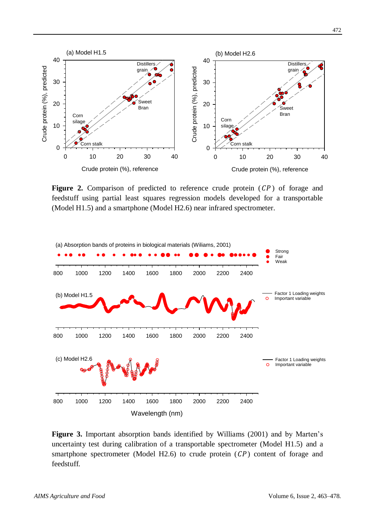

**Figure 2.** Comparison of predicted to reference crude protein  $( CP)$  of forage and feedstuff using partial least squares regression models developed for a transportable (Model H1.5) and a smartphone (Model H2.6) near infrared spectrometer.



**Figure 3.** Important absorption bands identified by Williams (2001) and by Marten's uncertainty test during calibration of a transportable spectrometer (Model H1.5) and a smartphone spectrometer (Model H2.6) to crude protein  $( \mathcal{C} P )$  content of forage and feedstuff.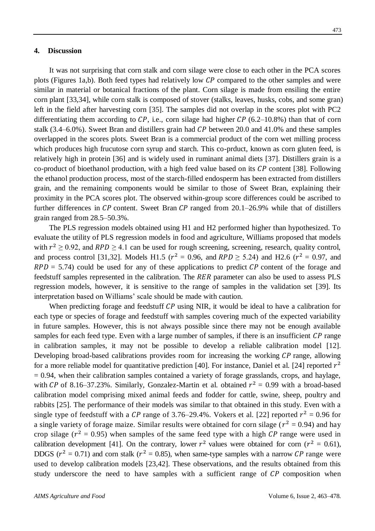## **4. Discussion**

It was not surprising that corn stalk and corn silage were close to each other in the PCA scores plots (Figures 1a,b). Both feed types had relatively low  $\mathcal{CP}$  compared to the other samples and were similar in material or botanical fractions of the plant. Corn silage is made from ensiling the entire corn plant [33,34], while corn stalk is composed of stover (stalks, leaves, husks, cobs, and some gran) left in the field after harvesting corn [35]. The samples did not overlap in the scores plot with PC2 differentiating them according to  $\mathcal{CP}$ , i.e., corn silage had higher  $\mathcal{CP}$  (6.2–10.8%) than that of corn stalk  $(3.4–6.0\%)$ . Sweet Bran and distillers grain had CP between 20.0 and 41.0% and these samples overlapped in the scores plots. Sweet Bran is a commercial product of the corn wet milling process which produces high frucutose corn syrup and starch. This co-prduct, known as corn gluten feed, is relatively high in protein [36] and is widely used in ruminant animal diets [37]. Distillers grain is a co-product of bioethanol production, with a high feed value based on its  $\mathcal{CP}$  content [38]. Following the ethanol production process, most of the starch-filled endosperm has been extracted from distillers grain, and the remaining components would be similar to those of Sweet Bran, explaining their proximity in the PCA scores plot. The observed within-group score differences could be ascribed to further differences in  $\mathcal{CP}$  content. Sweet Bran  $\mathcal{CP}$  ranged from 20.1–26.9% while that of distillers grain ranged from 28.5–50.3%.

The PLS regression models obtained using H1 and H2 performed higher than hypothesized. To evaluate the utility of PLS regression models in food and agriculture, Williams proposed that models with  $r^2 \ge 0.92$ , and  $RPD \ge 4.1$  can be used for rough screening, screening, research, quality control, and process control [31,32]. Models H1.5 ( $r^2 = 0.96$ , and  $RPD \ge 5.24$ ) and H2.6 ( $r^2 = 0.97$ , and  $RPD = 5.74$ ) could be used for any of these applications to predict CP content of the forage and feedstuff samples represented in the calibration. The RER parameter can also be used to assess PLS regression models, however, it is sensitive to the range of samples in the validation set [39]. Its interpretation based on Williams' scale should be made with caution.

When predicting forage and feedstuff  $\mathcal{CP}$  using NIR, it would be ideal to have a calibration for each type or species of forage and feedstuff with samples covering much of the expected variability in future samples. However, this is not always possible since there may not be enough available samples for each feed type. Even with a large number of samples, if there is an insufficient  $\mathcal{CP}$  range in calibration samples, it may not be possible to develop a reliable calibration model [12]. Developing broad-based calibrations provides room for increasing the working  $\mathcal{CP}$  range, allowing for a more reliable model for quantitative prediction [40]. For instance, Daniel et al. [24] reported  $r^2$  $= 0.94$ , when their calibration samples contained a variety of forage grasslands, crops, and haylage, with CP of 8.16–37.23%. Similarly, Gonzalez-Martin et al. obtained  $r^2 = 0.99$  with a broad-based calibration model comprising mixed animal feeds and fodder for cattle, swine, sheep, poultry and rabbits [25]. The performance of their models was similar to that obtained in this study. Even with a single type of feedstuff with a CP range of 3.76–29.4%. Vokers et al. [22] reported  $r^2 = 0.96$  for a single variety of forage maize. Similar results were obtained for corn silage ( $r^2 = 0.94$ ) and hay crop silage ( $r^2 = 0.95$ ) when samples of the same feed type with a high CP range were used in calibration development [41]. On the contrary, lower  $r^2$  values were obtained for corn ( $r^2 = 0.61$ ), DDGS ( $r^2 = 0.71$ ) and corn stalk ( $r^2 = 0.85$ ), when same-type samples with a narrow CP range were used to develop calibration models [23,42]. These observations, and the results obtained from this study underscore the need to have samples with a sufficient range of  $\mathcal{CP}$  composition when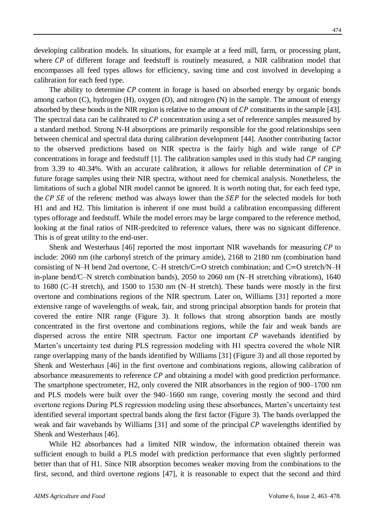developing calibration models. In situations, for example at a feed mill, farm, or processing plant, where  $\mathcal{CP}$  of different forage and feedstuff is routinely measured, a NIR calibration model that encompasses all feed types allows for efficiency, saving time and cost involved in developing a calibration for each feed type.

The ability to determine  $\mathcal{CP}$  content in forage is based on absorbed energy by organic bonds among carbon (C), hydrogen (H), oxygen (O), and nitrogen (N) in the sample. The amount of energy absorbed by these bonds in the NIR region is relative to the amount of  $\mathcal{CP}$  constituents in the sample [43]. The spectral data can be calibrated to  $\mathcal{CP}$  concentration using a set of reference samples measured by a standard method. Strong N-H absorptions are primarily responsible for the good relationships seen between chemical and spectral data during calibration development [44]. Another contributing factor to the observed predictions based on NIR spectra is the fairly high and wide range of concentrations in forage and feedstuff  $[1]$ . The calibration samples used in this study had CP ranging from 3.39 to 40.34%. With an accurate calibration, it allows for reliable determination of  $\mathcal{CP}$  in future forage samples using their NIR spectra, without need for chemical analysis. Nonetheless, the limitations of such a global NIR model cannot be ignored. It is worth noting that, for each feed type, the CP SE of the referenc method was always lower than the SEP for the selected models for both H1 and and H2. This limitation is inherent if one must build a calibration encompassing different types offorage and feedstuff. While the model errors may be large compared to the reference method, looking at the final ratios of NIR-predcited to reference values, there was no signicant difference. This is of great utility to the end-user.

Shenk and Westerhaus [46] reported the most important NIR wavebands for measuring  $\mathcal{CP}$  to include: 2060 nm (the carbonyl stretch of the primary amide), 2168 to 2180 nm (combination band consisting of N–H bend 2nd overtone, C–H stretch/C=O stretch combination; and C=O stretch/N–H in-plane bend/C–N stretch combination bands), 2050 to 2060 nm (N–H stretching vibrations), 1640 to 1680 (C–H stretch), and 1500 to 1530 nm (N–H stretch). These bands were mostly in the first overtone and combinations regions of the NIR spectrum. Later on, Williams [31] reported a more extensive range of wavelengths of weak, fair, and strong principal absorption bands for protein that covered the entire NIR range (Figure 3). It follows that strong absorption bands are mostly concentrated in the first overtone and combinations regions, while the fair and weak bands are dispersed across the entire NIR spectrum. Factor one important  $\mathcal{CP}$  wavebands identified by Marten's uncertainty test during PLS regression modeling with H1 spectra covered the whole NIR range overlapping many of the bands identified by Williams [31] (Figure 3) and all those reported by Shenk and Westerhaus [46] in the first overtone and combinations regions, allowing calibration of absorbance measurements to reference  $\mathcal{CP}$  and obtaining a model with good prediction performance. The smartphone spectrometer, H2, only covered the NIR absorbances in the region of 900–1700 nm and PLS models were built over the 940–1660 nm range, covering mostly the second and third overtone regions During PLS regression modeling using these absorbances, Marten's uncertainty test identified several important spectral bands along the first factor (Figure 3). The bands overlapped the weak and fair wavebands by Williams [31] and some of the principal  $\mathcal{CP}$  wavelengths identified by Shenk and Westerhaus [46].

While H2 absorbances had a limited NIR window, the information obtained therein was sufficient enough to build a PLS model with prediction performance that even slightly performed better than that of H1. Since NIR absorption becomes weaker moving from the combinations to the first, second, and third overtone regions [47], it is reasonable to expect that the second and third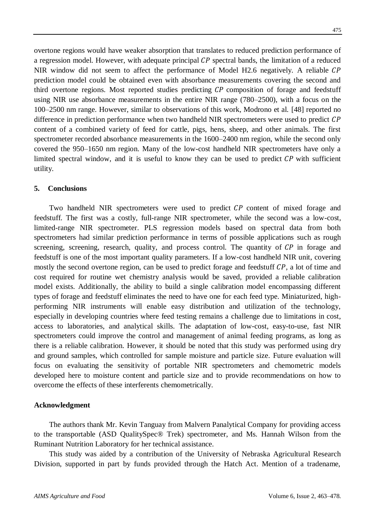overtone regions would have weaker absorption that translates to reduced prediction performance of a regression model. However, with adequate principal  $\mathcal{CP}$  spectral bands, the limitation of a reduced NIR window did not seem to affect the performance of Model H2.6 negatively. A reliable CP prediction model could be obtained even with absorbance measurements covering the second and third overtone regions. Most reported studies predicting  $\mathcal{CP}$  composition of forage and feedstuff using NIR use absorbance measurements in the entire NIR range (780–2500), with a focus on the 100–2500 nm range. However, similar to observations of this work, Modrono et al. [48] reported no difference in prediction performance when two handheld NIR spectrometers were used to predict CP content of a combined variety of feed for cattle, pigs, hens, sheep, and other animals. The first spectrometer recorded absorbance measurements in the 1600–2400 nm region, while the second only covered the 950–1650 nm region. Many of the low-cost handheld NIR spectrometers have only a limited spectral window, and it is useful to know they can be used to predict  $\mathcal{CP}$  with sufficient utility.

# **5. Conclusions**

Two handheld NIR spectrometers were used to predict  $\mathcal{CP}$  content of mixed forage and feedstuff. The first was a costly, full-range NIR spectrometer, while the second was a low-cost, limited-range NIR spectrometer. PLS regression models based on spectral data from both spectrometers had similar prediction performance in terms of possible applications such as rough screening, screening, research, quality, and process control. The quantity of  $\mathcal{CP}$  in forage and feedstuff is one of the most important quality parameters. If a low-cost handheld NIR unit, covering mostly the second overtone region, can be used to predict forage and feedstuff  $\mathcal{CP}$ , a lot of time and cost required for routine wet chemistry analysis would be saved, provided a reliable calibration model exists. Additionally, the ability to build a single calibration model encompassing different types of forage and feedstuff eliminates the need to have one for each feed type. Miniaturized, highperforming NIR instruments will enable easy distribution and utilization of the technology, especially in developing countries where feed testing remains a challenge due to limitations in cost, access to laboratories, and analytical skills. The adaptation of low-cost, easy-to-use, fast NIR spectrometers could improve the control and management of animal feeding programs, as long as there is a reliable calibration. However, it should be noted that this study was performed using dry and ground samples, which controlled for sample moisture and particle size. Future evaluation will focus on evaluating the sensitivity of portable NIR spectrometers and chemometric models developed here to moisture content and particle size and to provide recommendations on how to overcome the effects of these interferents chemometrically.

### **Acknowledgment**

The authors thank Mr. Kevin Tanguay from Malvern Panalytical Company for providing access to the transportable (ASD QualitySpec® Trek) spectrometer, and Ms. Hannah Wilson from the Ruminant Nutrition Laboratory for her technical assistance.

This study was aided by a contribution of the University of Nebraska Agricultural Research Division, supported in part by funds provided through the Hatch Act. Mention of a tradename,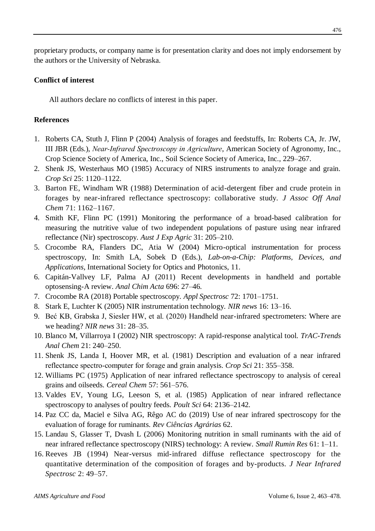proprietary products, or company name is for presentation clarity and does not imply endorsement by the authors or the University of Nebraska.

# **Conflict of interest**

All authors declare no conflicts of interest in this paper.

# **References**

- 1. Roberts CA, Stuth J, Flinn P (2004) Analysis of forages and feedstuffs, In: Roberts CA, Jr. JW, III JBR (Eds.), *Near‐Infrared Spectroscopy in Agriculture*, American Society of Agronomy, Inc., Crop Science Society of America, Inc., Soil Science Society of America, Inc., 229–267.
- 2. Shenk JS, Westerhaus MO (1985) Accuracy of NIRS instruments to analyze forage and grain. *Crop Sci* 25: 1120–1122.
- 3. Barton FE, Windham WR (1988) Determination of acid-detergent fiber and crude protein in forages by near-infrared reflectance spectroscopy: collaborative study. *J Assoc Off Anal Chem* 71: 1162–1167.
- 4. Smith KF, Flinn PC (1991) Monitoring the performance of a broad-based calibration for measuring the nutritive value of two independent populations of pasture using near infrared reflectance (Nir) spectroscopy. *Aust J Exp Agric* 31: 205–210.
- 5. Crocombe RA, Flanders DC, Atia W (2004) Micro-optical instrumentation for process spectroscopy, In: Smith LA, Sobek D (Eds.), *Lab-on-a-Chip: Platforms, Devices, and Applications*, International Society for Optics and Photonics, 11.
- 6. Capitán-Vallvey LF, Palma AJ (2011) Recent developments in handheld and portable optosensing-A review. *Anal Chim Acta* 696: 27–46.
- 7. Crocombe RA (2018) Portable spectroscopy. *Appl Spectrosc* 72: 1701–1751.
- 8. Stark E, Luchter K (2005) NIR instrumentation technology. *NIR news* 16: 13–16.
- 9. Beć KB, Grabska J, Siesler HW, et al. (2020) Handheld near-infrared spectrometers: Where are we heading? *NIR news* 31: 28–35.
- 10. Blanco M, Villarroya I (2002) NIR spectroscopy: A rapid-response analytical tool. *TrAC-Trends Anal Chem* 21: 240–250.
- 11. Shenk JS, Landa I, Hoover MR, et al. (1981) Description and evaluation of a near infrared reflectance spectro‐computer for forage and grain analysis. *Crop Sci* 21: 355–358.
- 12. Williams PC (1975) Application of near infrared reflectance spectroscopy to analysis of cereal grains and oilseeds. *Cereal Chem* 57: 561–576.
- 13. Valdes EV, Young LG, Leeson S, et al. (1985) Application of near infrared reflectance spectroscopy to analyses of poultry feeds. *Poult Sci* 64: 2136–2142.
- 14. Paz CC da, Maciel e Silva AG, Rêgo AC do (2019) Use of near infrared spectroscopy for the evaluation of forage for ruminants. *Rev Ciências Agrárias* 62.
- 15. Landau S, Glasser T, Dvash L (2006) Monitoring nutrition in small ruminants with the aid of near infrared reflectance spectroscopy (NIRS) technology: A review. *Small Rumin Res* 61: 1–11.
- 16. Reeves JB (1994) Near-versus mid-infrared diffuse reflectance spectroscopy for the quantitative determination of the composition of forages and by-products. *J Near Infrared Spectrosc* 2: 49–57.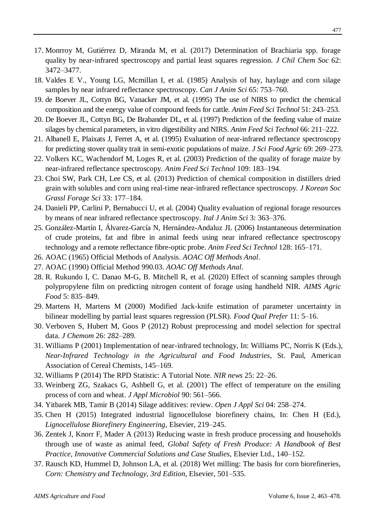- 17. Monrroy M, Gutiérrez D, Miranda M, et al. (2017) Determination of Brachiaria spp. forage quality by near-infrared spectroscopy and partial least squares regression. *J Chil Chem Soc* 62: 3472–3477.
- 18. Valdes E V., Young LG, Mcmillan I, et al. (1985) Analysis of hay, haylage and corn silage samples by near infrared reflectance spectroscopy. *Can J Anim Sci* 65: 753–760.
- 19. de Boever JL, Cottyn BG, Vanacker JM, et al. (1995) The use of NIRS to predict the chemical composition and the energy value of compound feeds for cattle. *Anim Feed Sci Technol* 51: 243–253.
- 20. De Boever JL, Cottyn BG, De Brabander DL, et al. (1997) Prediction of the feeding value of maize silages by chemical parameters, in vitro digestibility and NIRS. *Anim Feed Sci Technol* 66: 211–222.
- 21. Albanell E, Plaixats J, Ferret A, et al. (1995) Evaluation of near-infrared reflectance spectroscopy for predicting stover quality trait in semi-exotic populations of maize. *J Sci Food Agric* 69: 269–273.
- 22. Volkers KC, Wachendorf M, Loges R, et al. (2003) Prediction of the quality of forage maize by near-infrared reflectance spectroscopy. *Anim Feed Sci Technol* 109: 183–194.
- 23. Choi SW, Park CH, Lee CS, et al. (2013) Prediction of chemical composition in distillers dried grain with solubles and corn using real-time near-infrared reflectance spectroscopy. *J Korean Soc Grassl Forage Sci* 33: 177–184.
- 24. Danieli PP, Carlini P, Bernabucci U, et al. (2004) Quality evaluation of regional forage resources by means of near infrared reflectance spectroscopy. *Ital J Anim Sci* 3: 363–376.
- 25. González-Martín I, Álvarez-García N, Hernández-Andaluz JL (2006) Instantaneous determination of crude proteins, fat and fibre in animal feeds using near infrared reflectance spectroscopy technology and a remote reflectance fibre-optic probe. *Anim Feed Sci Technol* 128: 165–171.
- 26. AOAC (1965) Official Methods of Analysis. *AOAC Off Methods Anal*.
- 27. AOAC (1990) Official Method 990.03. *AOAC Off Methods Anal*.
- 28. R. Rukundo I, C. Danao M-G, B. Mitchell R, et al. (2020) Effect of scanning samples through polypropylene film on predicting nitrogen content of forage using handheld NIR. *AIMS Agric Food* 5: 835–849.
- 29. Martens H, Martens M (2000) Modified Jack-knife estimation of parameter uncertainty in bilinear modelling by partial least squares regression (PLSR). *Food Qual Prefer* 11: 5–16.
- 30. Verboven S, Hubert M, Goos P (2012) Robust preprocessing and model selection for spectral data. *J Chemom* 26: 282–289.
- 31. Williams P (2001) Implementation of near-infrared technology, In: Williams PC, Norris K (Eds.), *Near-Infrared Technology in the Agricultural and Food Industries*, St. Paul, American Association of Cereal Chemists, 145–169.
- 32. Williams P (2014) The RPD Statistic: A Tutorial Note. *NIR news* 25: 22–26.
- 33. Weinberg ZG, Szakacs G, Ashbell G, et al. (2001) The effect of temperature on the ensiling process of corn and wheat. *J Appl Microbiol* 90: 561–566.
- 34. Yitbarek MB, Tamir B (2014) Silage additives: review. *Open J Appl Sci* 04: 258–274.
- 35. Chen H (2015) Integrated industrial lignocellulose biorefinery chains, In: Chen H (Ed.), *Lignocellulose Biorefinery Engineering*, Elsevier, 219–245.
- 36. Zentek J, Knorr F, Mader A (2013) Reducing waste in fresh produce processing and households through use of waste as animal feed, *Global Safety of Fresh Produce: A Handbook of Best Practice, Innovative Commercial Solutions and Case Studies*, Elsevier Ltd., 140–152.
- 37. Rausch KD, Hummel D, Johnson LA, et al. (2018) Wet milling: The basis for corn biorefineries, *Corn: Chemistry and Technology, 3rd Edition*, Elsevier, 501–535.